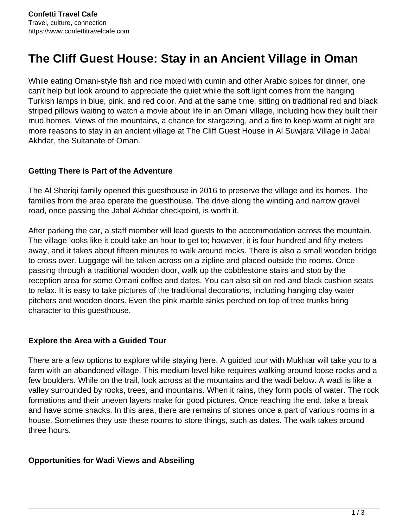# **The Cliff Guest House: Stay in an Ancient Village in Oman**

While eating Omani-style fish and rice mixed with cumin and other Arabic spices for dinner, one can't help but look around to appreciate the quiet while the soft light comes from the hanging Turkish lamps in blue, pink, and red color. And at the same time, sitting on traditional red and black striped pillows waiting to watch a movie about life in an Omani village, including how they built their mud homes. Views of the mountains, a chance for stargazing, and a fire to keep warm at night are more reasons to stay in an ancient village at The Cliff Guest House in Al Suwjara Village in Jabal Akhdar, the Sultanate of Oman.

#### **Getting There is Part of the Adventure**

The Al Sheriqi family opened this guesthouse in 2016 to preserve the village and its homes. The families from the area operate the guesthouse. The drive along the winding and narrow gravel road, once passing the Jabal Akhdar checkpoint, is worth it.

After parking the car, a staff member will lead guests to the accommodation across the mountain. The village looks like it could take an hour to get to; however, it is four hundred and fifty meters away, and it takes about fifteen minutes to walk around rocks. There is also a small wooden bridge to cross over. Luggage will be taken across on a zipline and placed outside the rooms. Once passing through a traditional wooden door, walk up the cobblestone stairs and stop by the reception area for some Omani coffee and dates. You can also sit on red and black cushion seats to relax. It is easy to take pictures of the traditional decorations, including hanging clay water pitchers and wooden doors. Even the pink marble sinks perched on top of tree trunks bring character to this guesthouse.

## **Explore the Area with a Guided Tour**

There are a few options to explore while staying here. A guided tour with Mukhtar will take you to a farm with an abandoned village. This medium-level hike requires walking around loose rocks and a few boulders. While on the trail, look across at the mountains and the wadi below. A wadi is like a valley surrounded by rocks, trees, and mountains. When it rains, they form pools of water. The rock formations and their uneven layers make for good pictures. Once reaching the end, take a break and have some snacks. In this area, there are remains of stones once a part of various rooms in a house. Sometimes they use these rooms to store things, such as dates. The walk takes around three hours.

#### **Opportunities for Wadi Views and Abseiling**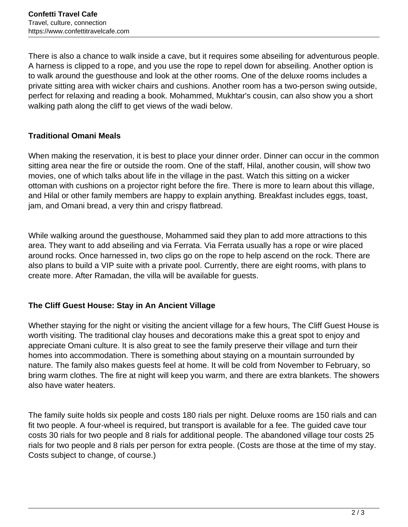There is also a chance to walk inside a cave, but it requires some abseiling for adventurous people. A harness is clipped to a rope, and you use the rope to repel down for abseiling. Another option is to walk around the guesthouse and look at the other rooms. One of the deluxe rooms includes a private sitting area with wicker chairs and cushions. Another room has a two-person swing outside, perfect for relaxing and reading a book. Mohammed, Mukhtar's cousin, can also show you a short walking path along the cliff to get views of the wadi below.

## **Traditional Omani Meals**

When making the reservation, it is best to place your dinner order. Dinner can occur in the common sitting area near the fire or outside the room. One of the staff, Hilal, another cousin, will show two movies, one of which talks about life in the village in the past. Watch this sitting on a wicker ottoman with cushions on a projector right before the fire. There is more to learn about this village, and Hilal or other family members are happy to explain anything. Breakfast includes eggs, toast, jam, and Omani bread, a very thin and crispy flatbread.

While walking around the guesthouse, Mohammed said they plan to add more attractions to this area. They want to add abseiling and via Ferrata. Via Ferrata usually has a rope or wire placed around rocks. Once harnessed in, two clips go on the rope to help ascend on the rock. There are also plans to build a VIP suite with a private pool. Currently, there are eight rooms, with plans to create more. After Ramadan, the villa will be available for guests.

## **The Cliff Guest House: Stay in An Ancient Village**

Whether staying for the night or visiting the ancient village for a few hours, The Cliff Guest House is worth visiting. The traditional clay houses and decorations make this a great spot to enjoy and appreciate Omani culture. It is also great to see the family preserve their village and turn their homes into accommodation. There is something about staying on a mountain surrounded by nature. The family also makes guests feel at home. It will be cold from November to February, so bring warm clothes. The fire at night will keep you warm, and there are extra blankets. The showers also have water heaters.

The family suite holds six people and costs 180 rials per night. Deluxe rooms are 150 rials and can fit two people. A four-wheel is required, but transport is available for a fee. The guided cave tour costs 30 rials for two people and 8 rials for additional people. The abandoned village tour costs 25 rials for two people and 8 rials per person for extra people. (Costs are those at the time of my stay. Costs subject to change, of course.)